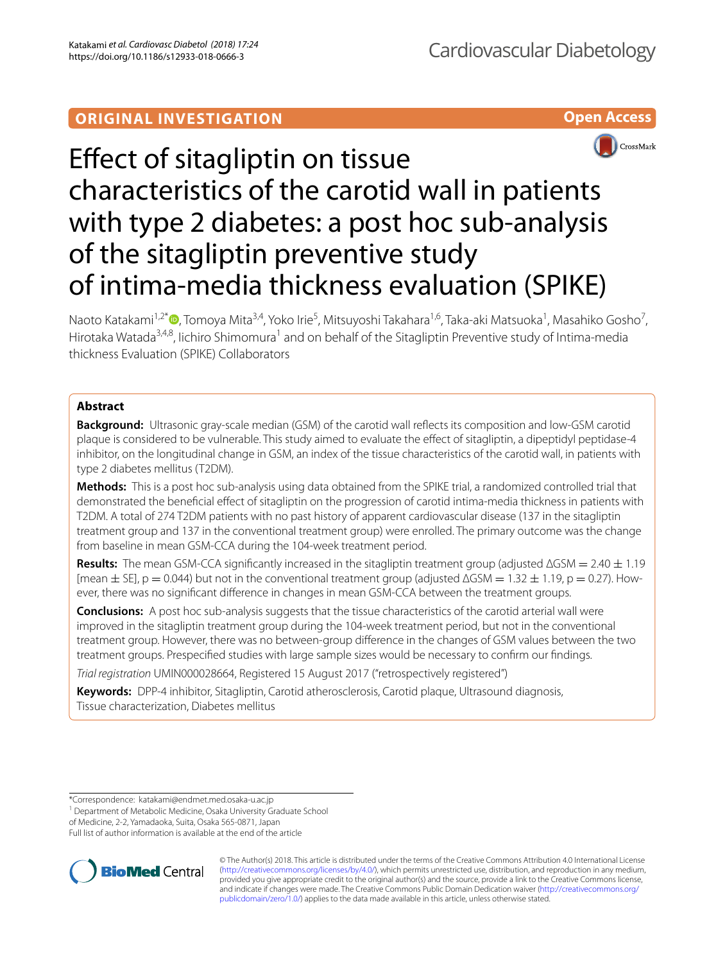## **ORIGINAL INVESTIGATION**





# Efect of sitagliptin on tissue characteristics of the carotid wall in patients with type 2 diabetes: a post hoc sub-analysis of the sitagliptin preventive study of intima-media thickness evaluation (SPIKE)

Naoto Katakami<sup>1[,](http://orcid.org/0000-0001-9020-8320)2\*</sup>®, Tomoya Mita<sup>3,4</sup>, Yoko Irie<sup>5</sup>, Mitsuyoshi Takahara<sup>1,6</sup>, Taka-aki Matsuoka<sup>1</sup>, Masahiko Gosho<sup>7</sup>, Hirotaka Watada<sup>3,4,8</sup>, lichiro Shimomura<sup>1</sup> and on behalf of the Sitagliptin Preventive study of Intima-media thickness Evaluation (SPIKE) Collaborators

## **Abstract**

**Background:** Ultrasonic gray-scale median (GSM) of the carotid wall refects its composition and low-GSM carotid plaque is considered to be vulnerable. This study aimed to evaluate the efect of sitagliptin, a dipeptidyl peptidase-4 inhibitor, on the longitudinal change in GSM, an index of the tissue characteristics of the carotid wall, in patients with type 2 diabetes mellitus (T2DM).

**Methods:** This is a post hoc sub-analysis using data obtained from the SPIKE trial, a randomized controlled trial that demonstrated the benefcial efect of sitagliptin on the progression of carotid intima-media thickness in patients with T2DM. A total of 274 T2DM patients with no past history of apparent cardiovascular disease (137 in the sitagliptin treatment group and 137 in the conventional treatment group) were enrolled. The primary outcome was the change from baseline in mean GSM-CCA during the 104-week treatment period.

**Results:** The mean GSM-CCA signifcantly increased in the sitagliptin treatment group (adjusted ΔGSM = 2.40 ± 1.19 [mean  $\pm$  SE], p = 0.044) but not in the conventional treatment group (adjusted  $\Delta$ GSM = 1.32  $\pm$  1.19, p = 0.27). However, there was no signifcant diference in changes in mean GSM-CCA between the treatment groups.

**Conclusions:** A post hoc sub-analysis suggests that the tissue characteristics of the carotid arterial wall were improved in the sitagliptin treatment group during the 104-week treatment period, but not in the conventional treatment group. However, there was no between-group diference in the changes of GSM values between the two treatment groups. Prespecifed studies with large sample sizes would be necessary to confrm our fndings.

*Trial registration* UMIN000028664, Registered 15 August 2017 ("retrospectively registered")

**Keywords:** DPP-4 inhibitor, Sitagliptin, Carotid atherosclerosis, Carotid plaque, Ultrasound diagnosis, Tissue characterization, Diabetes mellitus

<sup>1</sup> Department of Metabolic Medicine, Osaka University Graduate School

of Medicine, 2‑2, Yamadaoka, Suita, Osaka 565‑0871, Japan

Full list of author information is available at the end of the article



© The Author(s) 2018. This article is distributed under the terms of the Creative Commons Attribution 4.0 International License [\(http://creativecommons.org/licenses/by/4.0/\)](http://creativecommons.org/licenses/by/4.0/), which permits unrestricted use, distribution, and reproduction in any medium, provided you give appropriate credit to the original author(s) and the source, provide a link to the Creative Commons license, and indicate if changes were made. The Creative Commons Public Domain Dedication waiver ([http://creativecommons.org/](http://creativecommons.org/publicdomain/zero/1.0/) [publicdomain/zero/1.0/](http://creativecommons.org/publicdomain/zero/1.0/)) applies to the data made available in this article, unless otherwise stated.

<sup>\*</sup>Correspondence: katakami@endmet.med.osaka‑u.ac.jp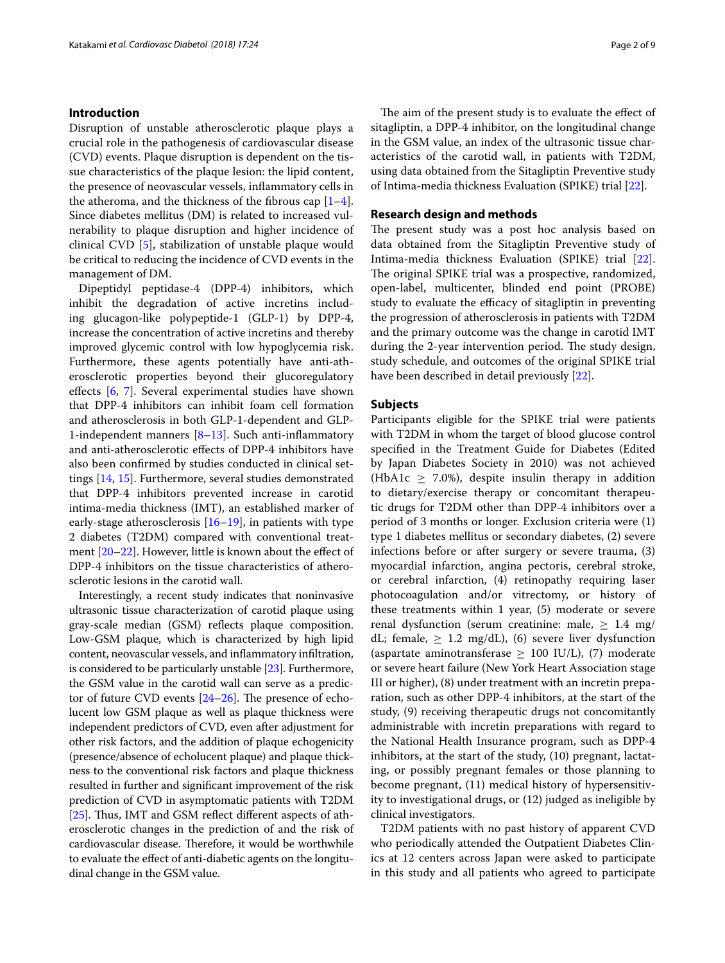## **Introduction**

Disruption of unstable atherosclerotic plaque plays a crucial role in the pathogenesis of cardiovascular disease (CVD) events. Plaque disruption is dependent on the tissue characteristics of the plaque lesion: the lipid content, the presence of neovascular vessels, infammatory cells in the atheroma, and the thickness of the fibrous cap  $[1-4]$  $[1-4]$ . Since diabetes mellitus (DM) is related to increased vulnerability to plaque disruption and higher incidence of clinical CVD [\[5](#page-7-2)], stabilization of unstable plaque would be critical to reducing the incidence of CVD events in the management of DM.

Dipeptidyl peptidase-4 (DPP-4) inhibitors, which inhibit the degradation of active incretins including glucagon-like polypeptide-1 (GLP-1) by DPP-4, increase the concentration of active incretins and thereby improved glycemic control with low hypoglycemia risk. Furthermore, these agents potentially have anti-atherosclerotic properties beyond their glucoregulatory efects [\[6](#page-7-3), [7\]](#page-7-4). Several experimental studies have shown that DPP-4 inhibitors can inhibit foam cell formation and atherosclerosis in both GLP-1-dependent and GLP-1-independent manners  $[8-13]$  $[8-13]$ . Such anti-inflammatory and anti-atherosclerotic efects of DPP-4 inhibitors have also been confrmed by studies conducted in clinical settings [\[14](#page-8-1), [15\]](#page-8-2). Furthermore, several studies demonstrated that DPP-4 inhibitors prevented increase in carotid intima-media thickness (IMT), an established marker of early-stage atherosclerosis  $[16–19]$  $[16–19]$  $[16–19]$  $[16–19]$ , in patients with type 2 diabetes (T2DM) compared with conventional treatment [\[20](#page-8-5)[–22\]](#page-8-6). However, little is known about the efect of DPP-4 inhibitors on the tissue characteristics of atherosclerotic lesions in the carotid wall.

Interestingly, a recent study indicates that noninvasive ultrasonic tissue characterization of carotid plaque using gray-scale median (GSM) refects plaque composition. Low-GSM plaque, which is characterized by high lipid content, neovascular vessels, and infammatory infltration, is considered to be particularly unstable [\[23\]](#page-8-7). Furthermore, the GSM value in the carotid wall can serve as a predictor of future CVD events  $[24–26]$  $[24–26]$  $[24–26]$ . The presence of echolucent low GSM plaque as well as plaque thickness were independent predictors of CVD, even after adjustment for other risk factors, and the addition of plaque echogenicity (presence/absence of echolucent plaque) and plaque thickness to the conventional risk factors and plaque thickness resulted in further and signifcant improvement of the risk prediction of CVD in asymptomatic patients with T2DM [[25](#page-8-10)]. Thus, IMT and GSM reflect different aspects of atherosclerotic changes in the prediction of and the risk of cardiovascular disease. Therefore, it would be worthwhile to evaluate the efect of anti-diabetic agents on the longitudinal change in the GSM value.

The aim of the present study is to evaluate the effect of sitagliptin, a DPP-4 inhibitor, on the longitudinal change in the GSM value, an index of the ultrasonic tissue characteristics of the carotid wall, in patients with T2DM, using data obtained from the Sitagliptin Preventive study of Intima-media thickness Evaluation (SPIKE) trial [[22](#page-8-6)].

## **Research design and methods**

The present study was a post hoc analysis based on data obtained from the Sitagliptin Preventive study of Intima-media thickness Evaluation (SPIKE) trial [\[22](#page-8-6)]. The original SPIKE trial was a prospective, randomized, open-label, multicenter, blinded end point (PROBE) study to evaluate the efficacy of sitagliptin in preventing the progression of atherosclerosis in patients with T2DM and the primary outcome was the change in carotid IMT during the 2-year intervention period. The study design, study schedule, and outcomes of the original SPIKE trial have been described in detail previously [\[22\]](#page-8-6).

## **Subjects**

Participants eligible for the SPIKE trial were patients with T2DM in whom the target of blood glucose control specifed in the Treatment Guide for Diabetes (Edited by Japan Diabetes Society in 2010) was not achieved (HbA1c  $\geq$  7.0%), despite insulin therapy in addition to dietary/exercise therapy or concomitant therapeutic drugs for T2DM other than DPP-4 inhibitors over a period of 3 months or longer. Exclusion criteria were (1) type 1 diabetes mellitus or secondary diabetes, (2) severe infections before or after surgery or severe trauma, (3) myocardial infarction, angina pectoris, cerebral stroke, or cerebral infarction, (4) retinopathy requiring laser photocoagulation and/or vitrectomy, or history of these treatments within 1 year, (5) moderate or severe renal dysfunction (serum creatinine: male,  $\geq 1.4$  mg/ dL; female,  $\geq 1.2$  mg/dL), (6) severe liver dysfunction (aspartate aminotransferase  $\geq$  100 IU/L), (7) moderate or severe heart failure (New York Heart Association stage III or higher), (8) under treatment with an incretin preparation, such as other DPP-4 inhibitors, at the start of the study, (9) receiving therapeutic drugs not concomitantly administrable with incretin preparations with regard to the National Health Insurance program, such as DPP-4 inhibitors, at the start of the study, (10) pregnant, lactating, or possibly pregnant females or those planning to become pregnant, (11) medical history of hypersensitivity to investigational drugs, or (12) judged as ineligible by clinical investigators.

T2DM patients with no past history of apparent CVD who periodically attended the Outpatient Diabetes Clinics at 12 centers across Japan were asked to participate in this study and all patients who agreed to participate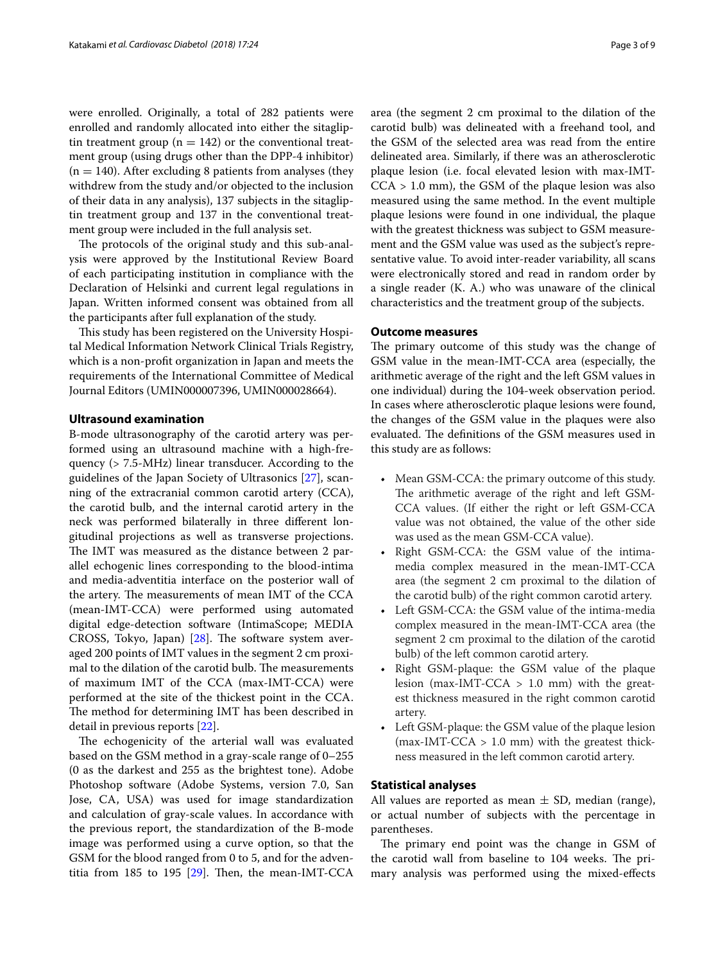were enrolled. Originally, a total of 282 patients were enrolled and randomly allocated into either the sitagliptin treatment group ( $n = 142$ ) or the conventional treatment group (using drugs other than the DPP-4 inhibitor)  $(n = 140)$ . After excluding 8 patients from analyses (they withdrew from the study and/or objected to the inclusion of their data in any analysis), 137 subjects in the sitagliptin treatment group and 137 in the conventional treatment group were included in the full analysis set.

The protocols of the original study and this sub-analysis were approved by the Institutional Review Board of each participating institution in compliance with the Declaration of Helsinki and current legal regulations in Japan. Written informed consent was obtained from all the participants after full explanation of the study.

This study has been registered on the University Hospital Medical Information Network Clinical Trials Registry, which is a non-proft organization in Japan and meets the requirements of the International Committee of Medical Journal Editors (UMIN000007396, UMIN000028664).

## **Ultrasound examination**

B-mode ultrasonography of the carotid artery was performed using an ultrasound machine with a high-frequency (> 7.5-MHz) linear transducer. According to the guidelines of the Japan Society of Ultrasonics [\[27](#page-8-11)], scanning of the extracranial common carotid artery (CCA), the carotid bulb, and the internal carotid artery in the neck was performed bilaterally in three diferent longitudinal projections as well as transverse projections. The IMT was measured as the distance between 2 parallel echogenic lines corresponding to the blood-intima and media-adventitia interface on the posterior wall of the artery. The measurements of mean IMT of the CCA (mean-IMT-CCA) were performed using automated digital edge-detection software (IntimaScope; MEDIA CROSS, Tokyo, Japan)  $[28]$  $[28]$ . The software system averaged 200 points of IMT values in the segment 2 cm proximal to the dilation of the carotid bulb. The measurements of maximum IMT of the CCA (max-IMT-CCA) were performed at the site of the thickest point in the CCA. The method for determining IMT has been described in detail in previous reports [[22\]](#page-8-6).

The echogenicity of the arterial wall was evaluated based on the GSM method in a gray-scale range of 0–255 (0 as the darkest and 255 as the brightest tone). Adobe Photoshop software (Adobe Systems, version 7.0, San Jose, CA, USA) was used for image standardization and calculation of gray-scale values. In accordance with the previous report, the standardization of the B-mode image was performed using a curve option, so that the GSM for the blood ranged from 0 to 5, and for the adventitia from 185 to 195  $[29]$  $[29]$  $[29]$ . Then, the mean-IMT-CCA area (the segment 2 cm proximal to the dilation of the carotid bulb) was delineated with a freehand tool, and the GSM of the selected area was read from the entire delineated area. Similarly, if there was an atherosclerotic plaque lesion (i.e. focal elevated lesion with max-IMT-CCA > 1.0 mm), the GSM of the plaque lesion was also measured using the same method. In the event multiple plaque lesions were found in one individual, the plaque with the greatest thickness was subject to GSM measurement and the GSM value was used as the subject's representative value. To avoid inter-reader variability, all scans were electronically stored and read in random order by a single reader (K. A.) who was unaware of the clinical characteristics and the treatment group of the subjects.

## **Outcome measures**

The primary outcome of this study was the change of GSM value in the mean-IMT-CCA area (especially, the arithmetic average of the right and the left GSM values in one individual) during the 104-week observation period. In cases where atherosclerotic plaque lesions were found, the changes of the GSM value in the plaques were also evaluated. The definitions of the GSM measures used in this study are as follows:

- Mean GSM-CCA: the primary outcome of this study. The arithmetic average of the right and left GSM-CCA values. (If either the right or left GSM-CCA value was not obtained, the value of the other side was used as the mean GSM-CCA value).
- •• Right GSM-CCA: the GSM value of the intimamedia complex measured in the mean-IMT-CCA area (the segment 2 cm proximal to the dilation of the carotid bulb) of the right common carotid artery.
- •• Left GSM-CCA: the GSM value of the intima-media complex measured in the mean-IMT-CCA area (the segment 2 cm proximal to the dilation of the carotid bulb) of the left common carotid artery.
- •• Right GSM-plaque: the GSM value of the plaque lesion (max-IMT-CCA  $> 1.0$  mm) with the greatest thickness measured in the right common carotid artery.
- Left GSM-plaque: the GSM value of the plaque lesion (max-IMT-CCA  $> 1.0$  mm) with the greatest thickness measured in the left common carotid artery.

## **Statistical analyses**

All values are reported as mean  $\pm$  SD, median (range), or actual number of subjects with the percentage in parentheses.

The primary end point was the change in GSM of the carotid wall from baseline to 104 weeks. The primary analysis was performed using the mixed-efects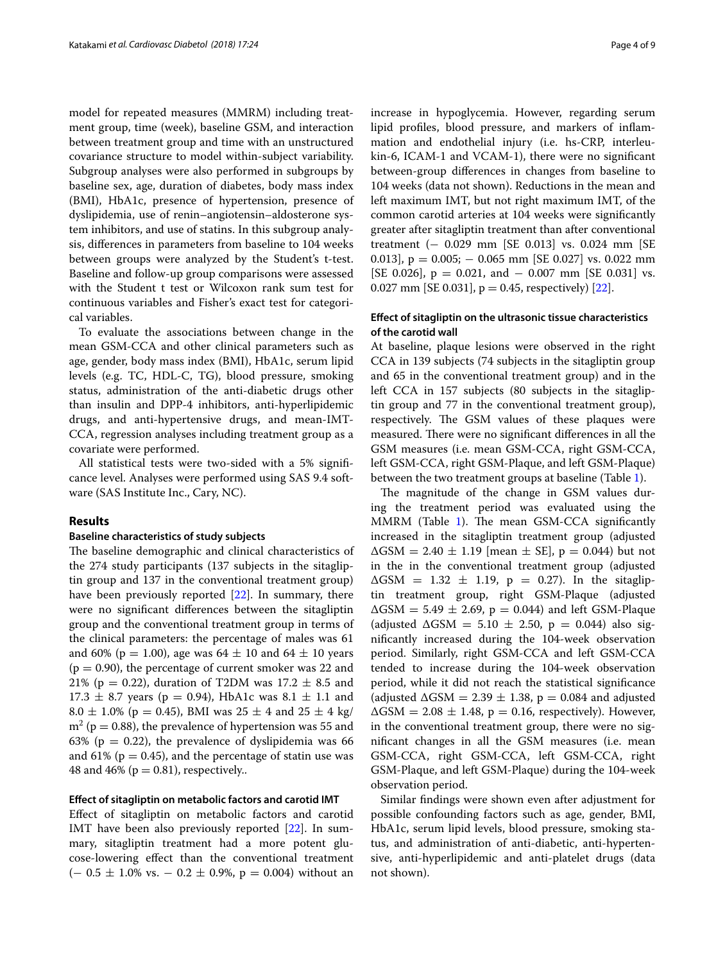model for repeated measures (MMRM) including treatment group, time (week), baseline GSM, and interaction between treatment group and time with an unstructured covariance structure to model within-subject variability. Subgroup analyses were also performed in subgroups by baseline sex, age, duration of diabetes, body mass index (BMI), HbA1c, presence of hypertension, presence of dyslipidemia, use of renin–angiotensin–aldosterone system inhibitors, and use of statins. In this subgroup analysis, diferences in parameters from baseline to 104 weeks between groups were analyzed by the Student's t-test. Baseline and follow-up group comparisons were assessed with the Student t test or Wilcoxon rank sum test for continuous variables and Fisher's exact test for categorical variables.

To evaluate the associations between change in the mean GSM-CCA and other clinical parameters such as age, gender, body mass index (BMI), HbA1c, serum lipid levels (e.g. TC, HDL-C, TG), blood pressure, smoking status, administration of the anti-diabetic drugs other than insulin and DPP-4 inhibitors, anti-hyperlipidemic drugs, and anti-hypertensive drugs, and mean-IMT-CCA, regression analyses including treatment group as a covariate were performed.

All statistical tests were two-sided with a 5% signifcance level. Analyses were performed using SAS 9.4 software (SAS Institute Inc., Cary, NC).

#### **Results**

## **Baseline characteristics of study subjects**

The baseline demographic and clinical characteristics of the 274 study participants (137 subjects in the sitagliptin group and 137 in the conventional treatment group) have been previously reported [[22\]](#page-8-6). In summary, there were no signifcant diferences between the sitagliptin group and the conventional treatment group in terms of the clinical parameters: the percentage of males was 61 and 60% ( $p = 1.00$ ), age was 64  $\pm$  10 and 64  $\pm$  10 years  $(p = 0.90)$ , the percentage of current smoker was 22 and 21% (p = 0.22), duration of T2DM was  $17.2 \pm 8.5$  and  $17.3 \pm 8.7$  years (p = 0.94), HbA1c was  $8.1 \pm 1.1$  and  $8.0 \pm 1.0\%$  (p = 0.45), BMI was  $25 \pm 4$  and  $25 \pm 4$  kg/  $m<sup>2</sup>$  (p = 0.88), the prevalence of hypertension was 55 and 63% ( $p = 0.22$ ), the prevalence of dyslipidemia was 66 and 61% ( $p = 0.45$ ), and the percentage of statin use was 48 and 46% ( $p = 0.81$ ), respectively..

## **Efect of sitagliptin on metabolic factors and carotid IMT**

Efect of sitagliptin on metabolic factors and carotid IMT have been also previously reported [\[22\]](#page-8-6). In summary, sitagliptin treatment had a more potent glucose-lowering efect than the conventional treatment  $(-0.5 \pm 1.0\% \text{ vs. } -0.2 \pm 0.9\% \text{, p} = 0.004) \text{ without an}$  increase in hypoglycemia. However, regarding serum lipid profles, blood pressure, and markers of infammation and endothelial injury (i.e. hs-CRP, interleukin-6, ICAM-1 and VCAM-1), there were no signifcant between-group diferences in changes from baseline to 104 weeks (data not shown). Reductions in the mean and left maximum IMT, but not right maximum IMT, of the common carotid arteries at 104 weeks were signifcantly greater after sitagliptin treatment than after conventional treatment (− 0.029 mm [SE 0.013] vs. 0.024 mm [SE 0.013],  $p = 0.005$ ;  $- 0.065$  mm [SE 0.027] vs. 0.022 mm [SE 0.026],  $p = 0.021$ , and  $- 0.007$  mm [SE 0.031] vs. 0.027 mm [SE 0.031],  $p = 0.45$ , respectively) [\[22](#page-8-6)].

## **Efect of sitagliptin on the ultrasonic tissue characteristics of the carotid wall**

At baseline, plaque lesions were observed in the right CCA in 139 subjects (74 subjects in the sitagliptin group and 65 in the conventional treatment group) and in the left CCA in 157 subjects (80 subjects in the sitagliptin group and 77 in the conventional treatment group), respectively. The GSM values of these plaques were measured. There were no significant differences in all the GSM measures (i.e. mean GSM-CCA, right GSM-CCA, left GSM-CCA, right GSM-Plaque, and left GSM-Plaque) between the two treatment groups at baseline (Table [1\)](#page-4-0).

The magnitude of the change in GSM values during the treatment period was evaluated using the MMRM (Table  $1$ ). The mean GSM-CCA significantly increased in the sitagliptin treatment group (adjusted  $\Delta$ GSM = 2.40  $\pm$  1.19 [mean  $\pm$  SE], p = 0.044) but not in the in the conventional treatment group (adjusted  $\Delta$ GSM = 1.32  $\pm$  1.19, p = 0.27). In the sitagliptin treatment group, right GSM-Plaque (adjusted  $\Delta$ GSM = 5.49  $\pm$  2.69, p = 0.044) and left GSM-Plaque (adjusted  $\Delta$ GSM = 5.10  $\pm$  2.50, p = 0.044) also signifcantly increased during the 104-week observation period. Similarly, right GSM-CCA and left GSM-CCA tended to increase during the 104-week observation period, while it did not reach the statistical signifcance (adjusted  $\Delta$ GSM = 2.39  $\pm$  1.38, p = 0.084 and adjusted  $\Delta$ GSM = 2.08  $\pm$  1.48, p = 0.16, respectively). However, in the conventional treatment group, there were no signifcant changes in all the GSM measures (i.e. mean GSM-CCA, right GSM-CCA, left GSM-CCA, right GSM-Plaque, and left GSM-Plaque) during the 104-week observation period.

Similar fndings were shown even after adjustment for possible confounding factors such as age, gender, BMI, HbA1c, serum lipid levels, blood pressure, smoking status, and administration of anti-diabetic, anti-hypertensive, anti-hyperlipidemic and anti-platelet drugs (data not shown).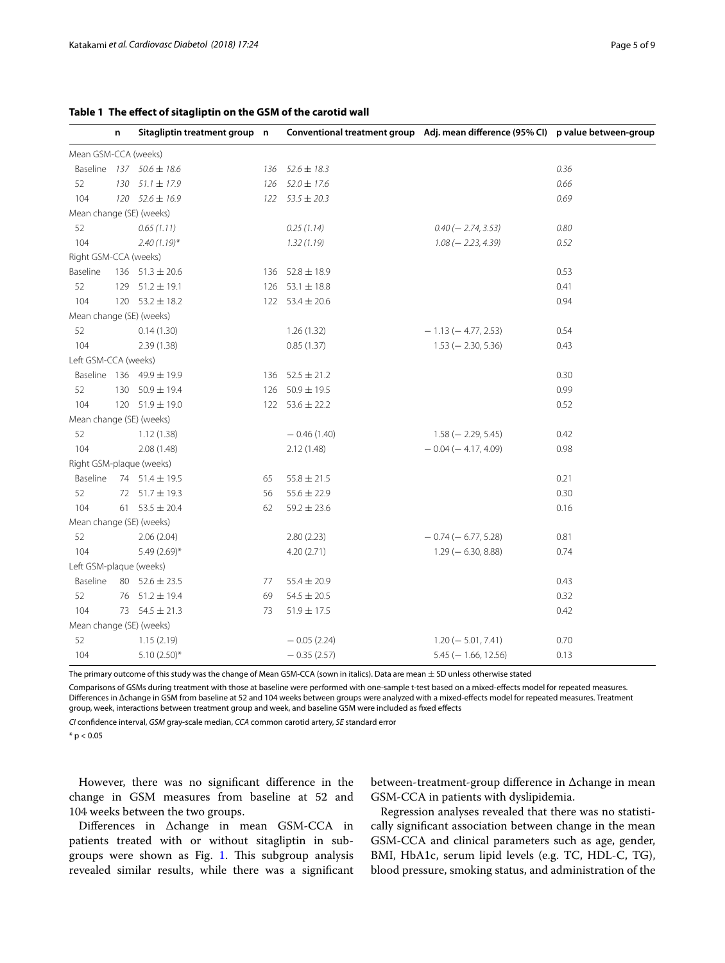|                          | n | Sitagliptin treatment group n |     | Conventional treatment group Adj. mean difference (95% CI) p value between-group |                           |      |
|--------------------------|---|-------------------------------|-----|----------------------------------------------------------------------------------|---------------------------|------|
| Mean GSM-CCA (weeks)     |   |                               |     |                                                                                  |                           |      |
|                          |   | Baseline 137 50.6 ± 18.6      |     | $136$ $52.6 \pm 18.3$                                                            |                           | 0.36 |
| 52                       |   | $130$ $51.1 \pm 17.9$         | 126 | $52.0 \pm 17.6$                                                                  |                           | 0.66 |
| 104                      |   | $120$ $52.6 \pm 16.9$         |     | $122$ $53.5 \pm 20.3$                                                            |                           | 0.69 |
| Mean change (SE) (weeks) |   |                               |     |                                                                                  |                           |      |
| 52                       |   | 0.65(1.11)                    |     | 0.25(1.14)                                                                       | $0.40 (- 2.74, 3.53)$     | 0.80 |
| 104                      |   | $2.40(1.19)^{*}$              |     | 1.32(1.19)                                                                       | $1.08 (- 2.23, 4.39)$     | 0.52 |
| Right GSM-CCA (weeks)    |   |                               |     |                                                                                  |                           |      |
| Baseline                 |   | 136 $51.3 \pm 20.6$           |     | 136 $52.8 \pm 18.9$                                                              |                           | 0.53 |
| 52                       |   | 129 $51.2 \pm 19.1$           |     | 126 $53.1 \pm 18.8$                                                              |                           | 0.41 |
| 104                      |   | $120$ $53.2 \pm 18.2$         |     | 122 $53.4 \pm 20.6$                                                              |                           | 0.94 |
| Mean change (SE) (weeks) |   |                               |     |                                                                                  |                           |      |
| 52                       |   | 0.14(1.30)                    |     | 1.26(1.32)                                                                       | $-1.13 (-4.77, 2.53)$     | 0.54 |
| 104                      |   | 2.39(1.38)                    |     | 0.85(1.37)                                                                       | $1.53$ (- 2.30, 5.36)     | 0.43 |
| Left GSM-CCA (weeks)     |   |                               |     |                                                                                  |                           |      |
|                          |   | Baseline 136 49.9 ± 19.9      |     | 136 $52.5 \pm 21.2$                                                              |                           | 0.30 |
| 52                       |   | 130 50.9 ± 19.4               |     | 126 50.9 ± 19.5                                                                  |                           | 0.99 |
| 104                      |   | 120 51.9 ± 19.0               |     | 122 $53.6 \pm 22.2$                                                              |                           | 0.52 |
| Mean change (SE) (weeks) |   |                               |     |                                                                                  |                           |      |
| 52                       |   | 1.12(1.38)                    |     | $-0.46(1.40)$                                                                    | $1.58 (- 2.29, 5.45)$     | 0.42 |
| 104                      |   | 2.08(1.48)                    |     | 2.12(1.48)                                                                       | $-0.04 (-4.17, 4.09)$     | 0.98 |
| Right GSM-plaque (weeks) |   |                               |     |                                                                                  |                           |      |
| Baseline                 |   | 74 51.4 ± 19.5                | 65  | $55.8 \pm 21.5$                                                                  |                           | 0.21 |
| 52                       |   | 72 51.7 ± 19.3                | 56  | $55.6 \pm 22.9$                                                                  |                           | 0.30 |
| 104                      |   | 61 $53.5 \pm 20.4$            | 62  | $59.2 \pm 23.6$                                                                  |                           | 0.16 |
| Mean change (SE) (weeks) |   |                               |     |                                                                                  |                           |      |
| 52                       |   | 2.06(2.04)                    |     | 2.80(2.23)                                                                       | $-0.74$ ( $-6.77$ , 5.28) | 0.81 |
| 104                      |   | $5.49(2.69)$ *                |     | 4.20(2.71)                                                                       | $1.29(-6.30, 8.88)$       | 0.74 |
| Left GSM-plaque (weeks)  |   |                               |     |                                                                                  |                           |      |
| Baseline                 |   | 80 $52.6 \pm 23.5$            | 77  | $55.4 \pm 20.9$                                                                  |                           | 0.43 |
| 52                       |   | 76 51.2 ± 19.4                | 69  | $54.5 \pm 20.5$                                                                  |                           | 0.32 |
| 104                      |   | 73 $54.5 \pm 21.3$            | 73  | $51.9 \pm 17.5$                                                                  |                           | 0.42 |
| Mean change (SE) (weeks) |   |                               |     |                                                                                  |                           |      |
| 52                       |   | 1.15(2.19)                    |     | $-0.05(2.24)$                                                                    | $1.20 (-5.01, 7.41)$      | 0.70 |
| 104                      |   | $5.10(2.50)$ *                |     | $-0.35(2.57)$                                                                    | $5.45$ (-1.66, 12.56)     | 0.13 |

## <span id="page-4-0"></span>**Table 1 The efect of sitagliptin on the GSM of the carotid wall**

The primary outcome of this study was the change of Mean GSM-CCA (sown in italics). Data are mean  $\pm$  SD unless otherwise stated

Comparisons of GSMs during treatment with those at baseline were performed with one-sample t-test based on a mixed-efects model for repeated measures. Diferences in Δchange in GSM from baseline at 52 and 104 weeks between groups were analyzed with a mixed-efects model for repeated measures. Treatment group, week, interactions between treatment group and week, and baseline GSM were included as fxed efects

*CI* confdence interval, *GSM* gray-scale median, *CCA* common carotid artery, *SE* standard error

 $*$  p  $< 0.05$ 

However, there was no signifcant diference in the change in GSM measures from baseline at 52 and 104 weeks between the two groups.

Diferences in Δchange in mean GSM-CCA in patients treated with or without sitagliptin in sub-groups were shown as Fig. [1](#page-5-0). This subgroup analysis revealed similar results, while there was a signifcant between-treatment-group diference in Δchange in mean GSM-CCA in patients with dyslipidemia.

Regression analyses revealed that there was no statistically signifcant association between change in the mean GSM-CCA and clinical parameters such as age, gender, BMI, HbA1c, serum lipid levels (e.g. TC, HDL-C, TG), blood pressure, smoking status, and administration of the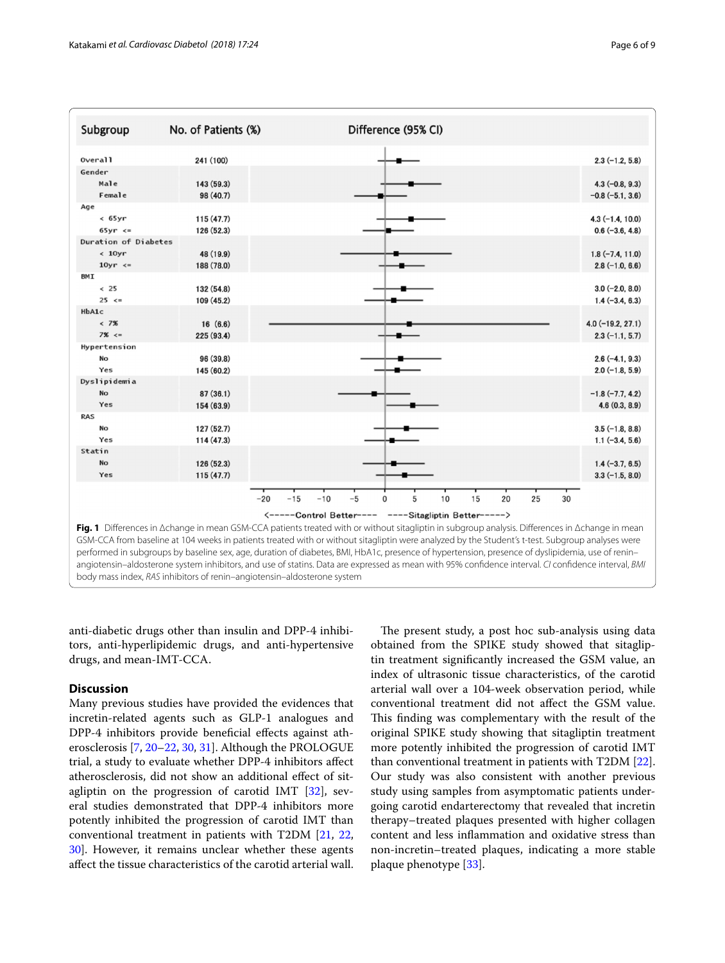

<span id="page-5-0"></span>anti-diabetic drugs other than insulin and DPP-4 inhibitors, anti-hyperlipidemic drugs, and anti-hypertensive drugs, and mean-IMT-CCA.

## **Discussion**

Many previous studies have provided the evidences that incretin-related agents such as GLP-1 analogues and DPP-4 inhibitors provide beneficial effects against atherosclerosis [[7,](#page-7-4) [20](#page-8-5)[–22](#page-8-6), [30](#page-8-14), [31\]](#page-8-15). Although the PROLOGUE trial, a study to evaluate whether DPP-4 inhibitors afect atherosclerosis, did not show an additional efect of sitagliptin on the progression of carotid IMT [[32](#page-8-16)], several studies demonstrated that DPP-4 inhibitors more potently inhibited the progression of carotid IMT than conventional treatment in patients with T2DM [[21](#page-8-17), [22](#page-8-6), [30\]](#page-8-14). However, it remains unclear whether these agents afect the tissue characteristics of the carotid arterial wall.

The present study, a post hoc sub-analysis using data obtained from the SPIKE study showed that sitagliptin treatment signifcantly increased the GSM value, an index of ultrasonic tissue characteristics, of the carotid arterial wall over a 104-week observation period, while conventional treatment did not afect the GSM value. This finding was complementary with the result of the original SPIKE study showing that sitagliptin treatment more potently inhibited the progression of carotid IMT than conventional treatment in patients with T2DM [\[22](#page-8-6)]. Our study was also consistent with another previous study using samples from asymptomatic patients undergoing carotid endarterectomy that revealed that incretin therapy–treated plaques presented with higher collagen content and less infammation and oxidative stress than non-incretin–treated plaques, indicating a more stable plaque phenotype [\[33](#page-8-18)].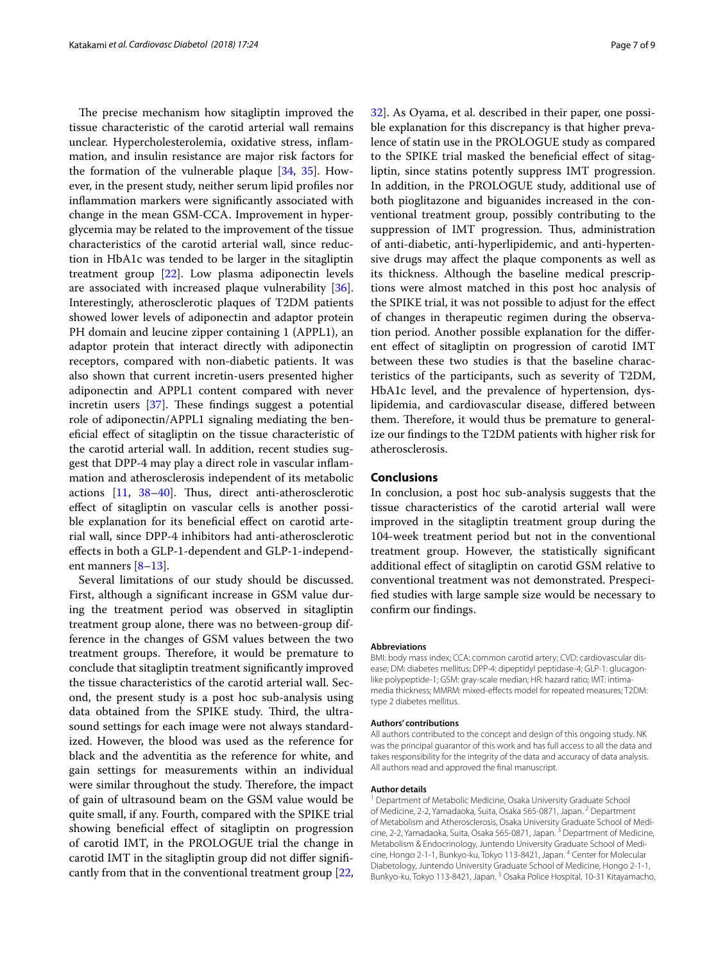The precise mechanism how sitagliptin improved the tissue characteristic of the carotid arterial wall remains unclear. Hypercholesterolemia, oxidative stress, infammation, and insulin resistance are major risk factors for the formation of the vulnerable plaque [\[34](#page-8-19), [35\]](#page-8-20). However, in the present study, neither serum lipid profles nor infammation markers were signifcantly associated with change in the mean GSM-CCA. Improvement in hyperglycemia may be related to the improvement of the tissue characteristics of the carotid arterial wall, since reduction in HbA1c was tended to be larger in the sitagliptin treatment group [\[22](#page-8-6)]. Low plasma adiponectin levels are associated with increased plaque vulnerability [\[36](#page-8-21)]. Interestingly, atherosclerotic plaques of T2DM patients showed lower levels of adiponectin and adaptor protein PH domain and leucine zipper containing 1 (APPL1), an adaptor protein that interact directly with adiponectin receptors, compared with non-diabetic patients. It was also shown that current incretin-users presented higher adiponectin and APPL1 content compared with never incretin users  $[37]$ . These findings suggest a potential role of adiponectin/APPL1 signaling mediating the benefcial efect of sitagliptin on the tissue characteristic of the carotid arterial wall. In addition, recent studies suggest that DPP-4 may play a direct role in vascular infammation and atherosclerosis independent of its metabolic actions  $[11, 38-40]$  $[11, 38-40]$  $[11, 38-40]$ . Thus, direct anti-atherosclerotic efect of sitagliptin on vascular cells is another possible explanation for its beneficial effect on carotid arterial wall, since DPP-4 inhibitors had anti-atherosclerotic efects in both a GLP-1-dependent and GLP-1-independent manners [\[8](#page-7-5)[–13\]](#page-8-0).

Several limitations of our study should be discussed. First, although a signifcant increase in GSM value during the treatment period was observed in sitagliptin treatment group alone, there was no between-group difference in the changes of GSM values between the two treatment groups. Therefore, it would be premature to conclude that sitagliptin treatment signifcantly improved the tissue characteristics of the carotid arterial wall. Second, the present study is a post hoc sub-analysis using data obtained from the SPIKE study. Third, the ultrasound settings for each image were not always standardized. However, the blood was used as the reference for black and the adventitia as the reference for white, and gain settings for measurements within an individual were similar throughout the study. Therefore, the impact of gain of ultrasound beam on the GSM value would be quite small, if any. Fourth, compared with the SPIKE trial showing benefcial efect of sitagliptin on progression of carotid IMT, in the PROLOGUE trial the change in carotid IMT in the sitagliptin group did not difer signifcantly from that in the conventional treatment group [\[22](#page-8-6), [32\]](#page-8-16). As Oyama, et al. described in their paper, one possible explanation for this discrepancy is that higher prevalence of statin use in the PROLOGUE study as compared to the SPIKE trial masked the benefcial efect of sitagliptin, since statins potently suppress IMT progression. In addition, in the PROLOGUE study, additional use of both pioglitazone and biguanides increased in the conventional treatment group, possibly contributing to the suppression of IMT progression. Thus, administration of anti-diabetic, anti-hyperlipidemic, and anti-hypertensive drugs may afect the plaque components as well as its thickness. Although the baseline medical prescriptions were almost matched in this post hoc analysis of the SPIKE trial, it was not possible to adjust for the efect of changes in therapeutic regimen during the observation period. Another possible explanation for the diferent efect of sitagliptin on progression of carotid IMT between these two studies is that the baseline characteristics of the participants, such as severity of T2DM, HbA1c level, and the prevalence of hypertension, dyslipidemia, and cardiovascular disease, difered between them. Therefore, it would thus be premature to generalize our fndings to the T2DM patients with higher risk for atherosclerosis.

## **Conclusions**

In conclusion, a post hoc sub-analysis suggests that the tissue characteristics of the carotid arterial wall were improved in the sitagliptin treatment group during the 104-week treatment period but not in the conventional treatment group. However, the statistically signifcant additional efect of sitagliptin on carotid GSM relative to conventional treatment was not demonstrated. Prespecifed studies with large sample size would be necessary to confrm our fndings.

#### **Abbreviations**

BMI: body mass index; CCA: common carotid artery; CVD: cardiovascular disease; DM: diabetes mellitus; DPP-4: dipeptidyl peptidase-4; GLP-1: glucagonlike polypeptide-1; GSM: gray-scale median; HR: hazard ratio; IMT: intimamedia thickness; MMRM: mixed-efects model for repeated measures; T2DM: type 2 diabetes mellitus.

#### **Authors' contributions**

All authors contributed to the concept and design of this ongoing study. NK was the principal guarantor of this work and has full access to all the data and takes responsibility for the integrity of the data and accuracy of data analysis. All authors read and approved the fnal manuscript.

#### **Author details**

<sup>1</sup> Department of Metabolic Medicine, Osaka University Graduate School of Medicine, 2‑2, Yamadaoka, Suita, Osaka 565‑0871, Japan. 2 Department of Metabolism and Atherosclerosis, Osaka University Graduate School of Medicine, 2-2, Yamadaoka, Suita, Osaka 565-0871, Japan.<sup>3</sup> Department of Medicine, Metabolism & Endocrinology, Juntendo University Graduate School of Medi‑ cine, Hongo 2-1-1, Bunkyo-ku, Tokyo 113-8421, Japan. <sup>4</sup> Center for Molecular Diabetology, Juntendo University Graduate School of Medicine, Hongo 2-1-1, Bunkyo-ku, Tokyo 113-8421, Japan. <sup>5</sup> Osaka Police Hospital, 10-31 Kitayamacho,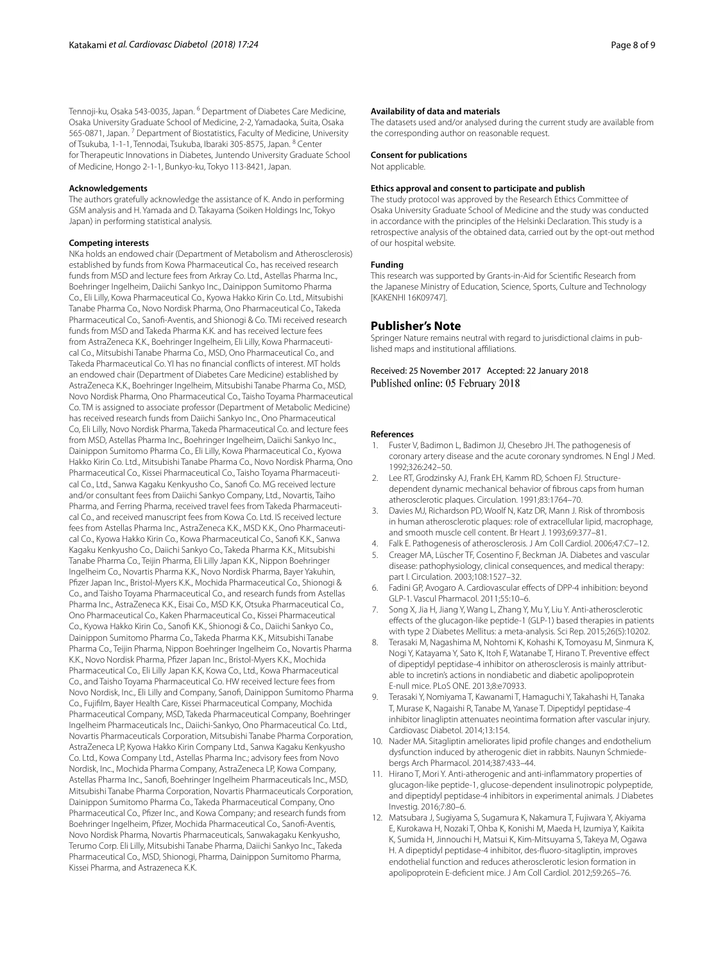Tennoji-ku, Osaka 543-0035, Japan. <sup>6</sup> Department of Diabetes Care Medicine, Osaka University Graduate School of Medicine, 2‑2, Yamadaoka, Suita, Osaka 565-0871, Japan.<sup>7</sup> Department of Biostatistics, Faculty of Medicine, University of Tsukuba, 1‑1‑1, Tennodai, Tsukuba, Ibaraki 305‑8575, Japan. 8 Center for Therapeutic Innovations in Diabetes, Juntendo University Graduate School of Medicine, Hongo 2‑1‑1, Bunkyo‑ku, Tokyo 113‑8421, Japan.

#### **Acknowledgements**

The authors gratefully acknowledge the assistance of K. Ando in performing GSM analysis and H. Yamada and D. Takayama (Soiken Holdings Inc, Tokyo Japan) in performing statistical analysis.

#### **Competing interests**

NKa holds an endowed chair (Department of Metabolism and Atherosclerosis) established by funds from Kowa Pharmaceutical Co., has received research funds from MSD and lecture fees from Arkray Co. Ltd., Astellas Pharma Inc., Boehringer Ingelheim, Daiichi Sankyo Inc., Dainippon Sumitomo Pharma Co., Eli Lilly, Kowa Pharmaceutical Co., Kyowa Hakko Kirin Co. Ltd., Mitsubishi Tanabe Pharma Co., Novo Nordisk Pharma, Ono Pharmaceutical Co., Takeda Pharmaceutical Co., Sanof-Aventis, and Shionogi & Co. TMi received research funds from MSD and Takeda Pharma K.K. and has received lecture fees from AstraZeneca K.K., Boehringer Ingelheim, Eli Lilly, Kowa Pharmaceutical Co., Mitsubishi Tanabe Pharma Co., MSD, Ono Pharmaceutical Co., and Takeda Pharmaceutical Co. YI has no fnancial conficts of interest. MT holds an endowed chair (Department of Diabetes Care Medicine) established by AstraZeneca K.K., Boehringer Ingelheim, Mitsubishi Tanabe Pharma Co., MSD, Novo Nordisk Pharma, Ono Pharmaceutical Co., Taisho Toyama Pharmaceutical Co. TM is assigned to associate professor (Department of Metabolic Medicine) has received research funds from Daiichi Sankyo Inc., Ono Pharmaceutical Co, Eli Lilly, Novo Nordisk Pharma, Takeda Pharmaceutical Co. and lecture fees from MSD, Astellas Pharma Inc., Boehringer Ingelheim, Daiichi Sankyo Inc., Dainippon Sumitomo Pharma Co., Eli Lilly, Kowa Pharmaceutical Co., Kyowa Hakko Kirin Co. Ltd., Mitsubishi Tanabe Pharma Co., Novo Nordisk Pharma, Ono Pharmaceutical Co., Kissei Pharmaceutical Co., Taisho Toyama Pharmaceutical Co., Ltd., Sanwa Kagaku Kenkyusho Co., Sanof Co. MG received lecture and/or consultant fees from Daiichi Sankyo Company, Ltd., Novartis, Taiho Pharma, and Ferring Pharma, received travel fees from Takeda Pharmaceutical Co., and received manuscript fees from Kowa Co. Ltd. IS received lecture fees from Astellas Pharma Inc., AstraZeneca K.K., MSD K.K., Ono Pharmaceutical Co., Kyowa Hakko Kirin Co., Kowa Pharmaceutical Co., Sanof K.K., Sanwa Kagaku Kenkyusho Co., Daiichi Sankyo Co., Takeda Pharma K.K., Mitsubishi Tanabe Pharma Co., Teijin Pharma, Eli Lilly Japan K.K., Nippon Boehringer Ingelheim Co., Novartis Pharma K.K., Novo Nordisk Pharma, Bayer Yakuhin, Pfzer Japan Inc., Bristol-Myers K.K., Mochida Pharmaceutical Co., Shionogi & Co., and Taisho Toyama Pharmaceutical Co., and research funds from Astellas Pharma Inc., AstraZeneca K.K., Eisai Co., MSD K.K, Otsuka Pharmaceutical Co., Ono Pharmaceutical Co., Kaken Pharmaceutical Co., Kissei Pharmaceutical Co., Kyowa Hakko Kirin Co., Sanof K.K., Shionogi & Co., Daiichi Sankyo Co., Dainippon Sumitomo Pharma Co., Takeda Pharma K.K., Mitsubishi Tanabe Pharma Co., Teijin Pharma, Nippon Boehringer Ingelheim Co., Novartis Pharma K.K., Novo Nordisk Pharma, Pfzer Japan Inc., Bristol-Myers K.K., Mochida Pharmaceutical Co., Eli Lilly Japan K.K, Kowa Co., Ltd., Kowa Pharmaceutical Co., and Taisho Toyama Pharmaceutical Co. HW received lecture fees from Novo Nordisk, Inc., Eli Lilly and Company, Sanof, Dainippon Sumitomo Pharma Co., Fujiflm, Bayer Health Care, Kissei Pharmaceutical Company, Mochida Pharmaceutical Company, MSD, Takeda Pharmaceutical Company, Boehringer Ingelheim Pharmaceuticals Inc., Daiichi-Sankyo, Ono Pharmaceutical Co. Ltd., Novartis Pharmaceuticals Corporation, Mitsubishi Tanabe Pharma Corporation, AstraZeneca LP, Kyowa Hakko Kirin Company Ltd., Sanwa Kagaku Kenkyusho Co. Ltd., Kowa Company Ltd., Astellas Pharma Inc.; advisory fees from Novo Nordisk, Inc., Mochida Pharma Company, AstraZeneca LP, Kowa Company, Astellas Pharma Inc., Sanof, Boehringer Ingelheim Pharmaceuticals Inc., MSD, Mitsubishi Tanabe Pharma Corporation, Novartis Pharmaceuticals Corporation, Dainippon Sumitomo Pharma Co., Takeda Pharmaceutical Company, Ono Pharmaceutical Co., Pfzer Inc., and Kowa Company; and research funds from Boehringer Ingelheim, Pfzer, Mochida Pharmaceutical Co., Sanof-Aventis, Novo Nordisk Pharma, Novartis Pharmaceuticals, Sanwakagaku Kenkyusho, Terumo Corp. Eli Lilly, Mitsubishi Tanabe Pharma, Daiichi Sankyo Inc., Takeda Pharmaceutical Co., MSD, Shionogi, Pharma, Dainippon Sumitomo Pharma, Kissei Pharma, and Astrazeneca K.K.

#### **Availability of data and materials**

The datasets used and/or analysed during the current study are available from the corresponding author on reasonable request.

#### **Consent for publications**

Not applicable.

#### **Ethics approval and consent to participate and publish**

The study protocol was approved by the Research Ethics Committee of Osaka University Graduate School of Medicine and the study was conducted in accordance with the principles of the Helsinki Declaration. This study is a retrospective analysis of the obtained data, carried out by the opt-out method of our hospital website.

#### **Funding**

This research was supported by Grants-in-Aid for Scientifc Research from the Japanese Ministry of Education, Science, Sports, Culture and Technology [KAKENHI 16K09747].

#### **Publisher's Note**

Springer Nature remains neutral with regard to jurisdictional claims in published maps and institutional afliations.

Received: 25 November 2017 Accepted: 22 January 2018 Published online: 05 February 2018

#### **References**

- <span id="page-7-0"></span>1. Fuster V, Badimon L, Badimon JJ, Chesebro JH. The pathogenesis of coronary artery disease and the acute coronary syndromes. N Engl J Med. 1992;326:242–50.
- 2. Lee RT, Grodzinsky AJ, Frank EH, Kamm RD, Schoen FJ. Structuredependent dynamic mechanical behavior of fbrous caps from human atherosclerotic plaques. Circulation. 1991;83:1764–70.
- 3. Davies MJ, Richardson PD, Woolf N, Katz DR, Mann J. Risk of thrombosis in human atherosclerotic plaques: role of extracellular lipid, macrophage, and smooth muscle cell content. Br Heart J. 1993;69:377–81.
- <span id="page-7-1"></span>4. Falk E. Pathogenesis of atherosclerosis. J Am Coll Cardiol. 2006;47:C7–12.
- <span id="page-7-2"></span>5. Creager MA, Lüscher TF, Cosentino F, Beckman JA. Diabetes and vascular disease: pathophysiology, clinical consequences, and medical therapy: part I. Circulation. 2003;108:1527–32.
- <span id="page-7-3"></span>6. Fadini GP, Avogaro A. Cardiovascular efects of DPP-4 inhibition: beyond GLP-1. Vascul Pharmacol. 2011;55:10–6.
- <span id="page-7-4"></span>7. Song X, Jia H, Jiang Y, Wang L, Zhang Y, Mu Y, Liu Y. Anti-atherosclerotic efects of the glucagon-like peptide-1 (GLP-1) based therapies in patients with type 2 Diabetes Mellitus: a meta-analysis. Sci Rep. 2015;26(5):10202.
- <span id="page-7-5"></span>8. Terasaki M, Nagashima M, Nohtomi K, Kohashi K, Tomoyasu M, Sinmura K, Nogi Y, Katayama Y, Sato K, Itoh F, Watanabe T, Hirano T. Preventive efect of dipeptidyl peptidase-4 inhibitor on atherosclerosis is mainly attributable to incretin's actions in nondiabetic and diabetic apolipoprotein E-null mice. PLoS ONE. 2013;8:e70933.
- 9. Terasaki Y, Nomiyama T, Kawanami T, Hamaguchi Y, Takahashi H, Tanaka T, Murase K, Nagaishi R, Tanabe M, Yanase T. Dipeptidyl peptidase-4 inhibitor linagliptin attenuates neointima formation after vascular injury. Cardiovasc Diabetol. 2014;13:154.
- 10. Nader MA. Sitagliptin ameliorates lipid profle changes and endothelium dysfunction induced by atherogenic diet in rabbits. Naunyn Schmiedebergs Arch Pharmacol. 2014;387:433–44.
- <span id="page-7-6"></span>11. Hirano T, Mori Y. Anti-atherogenic and anti-infammatory properties of glucagon-like peptide-1, glucose-dependent insulinotropic polypeptide, and dipeptidyl peptidase-4 inhibitors in experimental animals. J Diabetes Investig. 2016;7:80–6.
- 12. Matsubara J, Sugiyama S, Sugamura K, Nakamura T, Fujiwara Y, Akiyama E, Kurokawa H, Nozaki T, Ohba K, Konishi M, Maeda H, Izumiya Y, Kaikita K, Sumida H, Jinnouchi H, Matsui K, Kim-Mitsuyama S, Takeya M, Ogawa H. A dipeptidyl peptidase-4 inhibitor, des-fuoro-sitagliptin, improves endothelial function and reduces atherosclerotic lesion formation in apolipoprotein E-defcient mice. J Am Coll Cardiol. 2012;59:265–76.